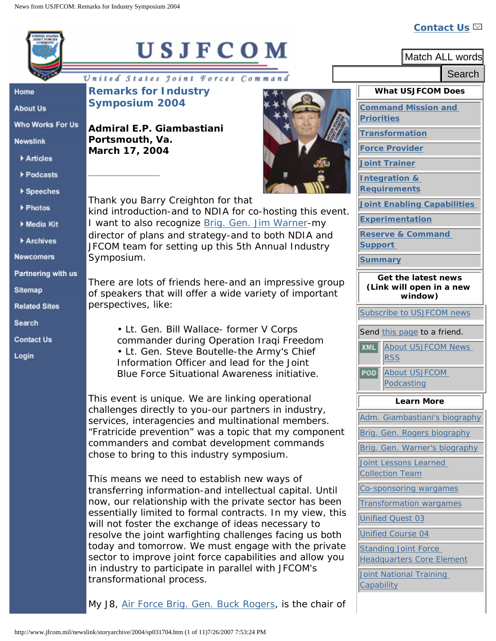## **[Contact Us](http://www.jwfc.jfcom.mil/webapps/forms/USJFCOM/feedback.jsp)**

|                      | USJFCOM                                                                                                           | Match ALL words                                                 |
|----------------------|-------------------------------------------------------------------------------------------------------------------|-----------------------------------------------------------------|
|                      |                                                                                                                   | Search                                                          |
| Home                 | United States Joint Forces Command<br><b>Remarks for Industry</b>                                                 | <b>What USJFCOM Does</b>                                        |
| <b>About Us</b>      | <b>Symposium 2004</b>                                                                                             | <b>Command Mission and</b>                                      |
| Who Works For Us     | Admiral E.P. Giambastiani                                                                                         | Priorities                                                      |
| <b>Newslink</b>      | Portsmouth, Va.                                                                                                   | <b>Transformation</b>                                           |
| Articles             | March 17, 2004                                                                                                    | <b>Force Provider</b>                                           |
| ▶ Podcasts           |                                                                                                                   | <b>Joint Trainer</b><br>Integration &                           |
| ▶ Speeches           |                                                                                                                   | <b>Requirements</b>                                             |
| ▶ Photos             | Thank you Barry Creighton for that                                                                                | <b>Joint Enabling Capabilities</b>                              |
| ▶ Media Kit          | kind introduction-and to NDIA for co-hosting this event.<br>I want to also recognize Brig. Gen. Jim Warner-my     | <b>Experimentation</b>                                          |
| Archives             | director of plans and strategy-and to both NDIA and                                                               | <b>Reserve &amp; Command</b>                                    |
| <b>Newcomers</b>     | JFCOM team for setting up this 5th Annual Industry<br>Symposium.                                                  | <b>Support</b><br><b>Summary</b>                                |
| Partnering with us   |                                                                                                                   | Get the latest news                                             |
| Sitemap              | There are lots of friends here-and an impressive group<br>of speakers that will offer a wide variety of important | (Link will open in a new                                        |
| <b>Related Sites</b> | perspectives, like:                                                                                               | window)                                                         |
| Search               |                                                                                                                   | Subscribe to USJFCOM news                                       |
| <b>Contact Us</b>    | • Lt. Gen. Bill Wallace- former V Corps<br>commander during Operation Iraqi Freedom                               | Send this page to a friend.                                     |
| Login                | • Lt. Gen. Steve Boutelle-the Army's Chief                                                                        | <b>XML</b><br>About USJFCOM News<br><b>RSS</b>                  |
|                      | Information Officer and lead for the Joint<br>Blue Force Situational Awareness initiative.                        | About USJFCOM<br>POD                                            |
|                      |                                                                                                                   | Podcasting                                                      |
|                      | This event is unique. We are linking operational<br>challenges directly to you-our partners in industry,          | <b>Learn More</b>                                               |
|                      | services, interagencies and multinational members.                                                                | Adm. Giambastiani's biography                                   |
|                      | "Fratricide prevention" was a topic that my component<br>commanders and combat development commands               | Brig. Gen. Rogers biography                                     |
|                      | chose to bring to this industry symposium.                                                                        | Brig. Gen. Warner's biography                                   |
|                      |                                                                                                                   | Joint Lessons Learned<br><b>Collection Team</b>                 |
|                      | This means we need to establish new ways of<br>transferring information-and intellectual capital. Until           | Co-sponsoring wargames                                          |
|                      | now, our relationship with the private sector has been                                                            | <b>Transformation wargames</b>                                  |
|                      | essentially limited to formal contracts. In my view, this<br>will not foster the exchange of ideas necessary to   | <b>Unified Quest 03</b>                                         |
|                      | resolve the joint warfighting challenges facing us both                                                           | <b>Unified Course 04</b>                                        |
|                      | today and tomorrow. We must engage with the private<br>sector to improve joint force capabilities and allow you   | <b>Standing Joint Force</b><br><b>Headquarters Core Element</b> |
|                      | in industry to participate in parallel with JFCOM's                                                               | Joint National Training                                         |
|                      | transformational process.                                                                                         | Capability                                                      |
|                      | My J8, Air Force Brig. Gen. Buck Rogers, is the chair of                                                          |                                                                 |
|                      | http://www.jfcom.mil/newslink/storyarchive/2004/sp031704.htm (1 of 11)7/26/2007 7:53:24 PM                        |                                                                 |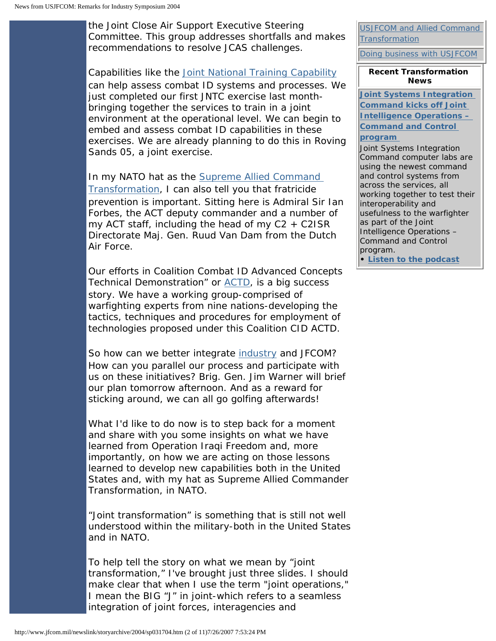the Joint Close Air Support Executive Steering Committee. This group addresses shortfalls and makes recommendations to resolve JCAS challenges.

Capabilities like the [Joint National Training Capability](http://www.jwfc.jfcom.mil/about/fact_jntc.htm) can help assess combat ID systems and processes. We just completed our first JNTC exercise last monthbringing together the services to train in a joint environment at the operational level. We can begin to embed and assess combat ID capabilities in these exercises. We are already planning to do this in Roving Sands 05, a joint exercise.

In my NATO hat as the Supreme Allied Command [Transformation,](http://www.jfcom.mil/about/fact_actjfcom.htm) I can also tell you that fratricide prevention is important. Sitting here is Admiral Sir Ian Forbes, the ACT deputy commander and a number of my ACT staff, including the head of my  $C2 + C2ISR$ Directorate Maj. Gen. Ruud Van Dam from the Dutch Air Force.

Our efforts in Coalition Combat ID Advanced Concepts Technical Demonstration" or [ACTD,](http://www.jfcom.mil/about/fact_actds.htm) is a big success story. We have a working group-comprised of warfighting experts from nine nations-developing the tactics, techniques and procedures for employment of technologies proposed under this Coalition CID ACTD.

So how can we better integrate [industry](http://www.jfcom.mil/about/industry.htm) and JFCOM? How can you parallel our process and participate with us on these initiatives? Brig. Gen. Jim Warner will brief our plan tomorrow afternoon. And as a reward for sticking around, we can all go golfing afterwards!

What I'd like to do now is to step back for a moment and share with you some insights on what we have learned from Operation Iraqi Freedom and, more importantly, on how we are acting on those lessons learned to develop new capabilities both in the United States and, with my hat as Supreme Allied Commander Transformation, in NATO.

"Joint transformation" is something that is still not well understood within the military-both in the United States and in NATO.

To help tell the story on what we mean by "joint transformation," I've brought just three slides. I should make clear that when I use the term "joint operations," I mean the BIG "J" in joint-which refers to a seamless integration of joint forces, interagencies and

[USJFCOM and Allied Command](http://www.jfcom.mil/about/fact_actjfcom.htm)  [Transformation](http://www.jfcom.mil/about/fact_actjfcom.htm)

[Doing business with USJFCOM](http://www.jfcom.mil/about/industry.htm)

**Recent Transformation News**

**[Joint Systems Integration](http://www.jfcom.mil/newslink/storyarchive/2007/pa072007.html)  [Command kicks off Joint](http://www.jfcom.mil/newslink/storyarchive/2007/pa072007.html)  [Intelligence Operations –](http://www.jfcom.mil/newslink/storyarchive/2007/pa072007.html)  [Command and Control](http://www.jfcom.mil/newslink/storyarchive/2007/pa072007.html)  [program](http://www.jfcom.mil/newslink/storyarchive/2007/pa072007.html)** 

Joint Systems Integration Command computer labs are using the newest command and control systems from across the services, all working together to test their interoperability and usefulness to the warfighter as part of the Joint Intelligence Operations – Command and Control program.

**• [Listen to the podcast](http://www.jfcom.mil/newslink/podcasts/2007/pod072007.html)**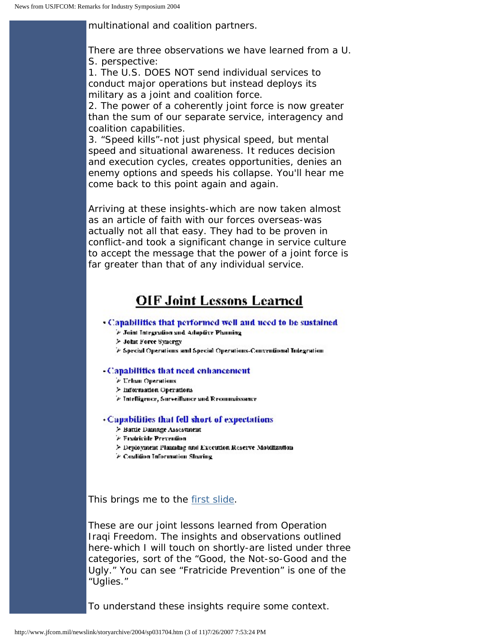multinational and coalition partners.

There are three observations we have learned from a U. S. perspective:

1. The U.S. DOES NOT send individual services to conduct major operations but instead deploys its military as a joint and coalition force.

2. The power of a coherently joint force is now greater than the sum of our separate service, interagency and coalition capabilities.

3. "Speed kills"-not just physical speed, but mental speed and situational awareness. It reduces decision and execution cycles, creates opportunities, denies an enemy options and speeds his collapse. You'll hear me come back to this point again and again.

Arriving at these insights-which are now taken almost as an article of faith with our forces overseas-was actually not all that easy. They had to be proven in conflict-and took a significant change in service culture to accept the message that the power of a joint force is far greater than that of any individual service.

### **OIF Joint Lessons Learned**

#### • Capabilities that performed well and need to be sustained

- > Joint Integration and Adaptive Planning
- > John Force Synergy
- > Special Operations and Special Operations-Conventional Integration

#### -Capabilities that need enhancement

- > Urban Operations
- > Information Operations
- > Intelligence, Surveillance and Reconnaissance

#### • Capabilities that fell short of expectations

- > Battle Damage Assessment
- *C. Fradricide Prevention*
- > Deployment Planning and Execution Reserve Mobilization
- > Coalition Information Sharing

This brings me to the [first slide](http://www.jfcom.mil/newslink/photolib/speeches/industry/slide1.htm).

These are our joint lessons learned from Operation Iraqi Freedom. The insights and observations outlined here-which I will touch on shortly-are listed under three categories, sort of the "Good, the Not-so-Good and the Ugly." You can see "Fratricide Prevention" is one of the "Uglies."

To understand these insights require some context.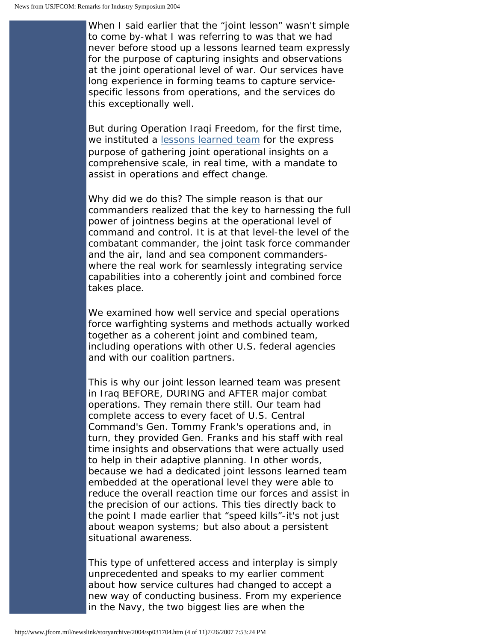When I said earlier that the "joint lesson" wasn't simple to come by-what I was referring to was that we had never before stood up a lessons learned team expressly for the purpose of capturing insights and observations at the joint operational level of war. Our services have long experience in forming teams to capture servicespecific lessons from operations, and the services do this exceptionally well.

But during Operation Iraqi Freedom, for the first time, we instituted a [lessons learned team](http://www.jwfc.jfcom.mil/about/fact_jcll.htm) for the express purpose of gathering joint operational insights on a comprehensive scale, in real time, with a mandate to assist in operations and effect change.

Why did we do this? The simple reason is that our commanders realized that the key to harnessing the full power of jointness begins at the operational level of command and control. It is at that level-the level of the combatant commander, the joint task force commander and the air, land and sea component commanderswhere the real work for seamlessly integrating service capabilities into a coherently joint and combined force takes place.

We examined how well service and special operations force warfighting systems and methods actually worked together as a coherent joint and combined team, including operations with other U.S. federal agencies and with our coalition partners.

This is why our joint lesson learned team was present in Iraq BEFORE, DURING and AFTER major combat operations. They remain there still. Our team had complete access to every facet of U.S. Central Command's Gen. Tommy Frank's operations and, in turn, they provided Gen. Franks and his staff with real time insights and observations that were actually used to help in their adaptive planning. In other words, because we had a dedicated joint lessons learned team embedded at the operational level they were able to reduce the overall reaction time our forces and assist in the precision of our actions. This ties directly back to the point I made earlier that "speed kills"-it's not just about weapon systems; but also about a persistent situational awareness.

This type of unfettered access and interplay is simply unprecedented and speaks to my earlier comment about how service cultures had changed to accept a new way of conducting business. From my experience in the Navy, the two biggest lies are when the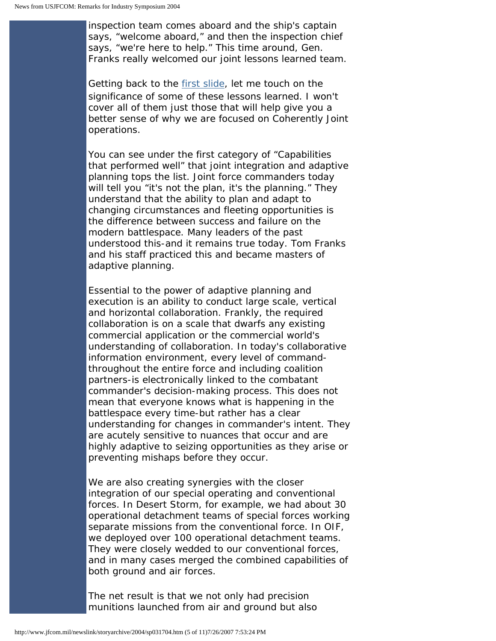inspection team comes aboard and the ship's captain says, "welcome aboard," and then the inspection chief says, "we're here to help." This time around, Gen. Franks really welcomed our joint lessons learned team.

Getting back to the [first slide](http://www.jfcom.mil/newslink/photolib/speeches/industry/slide1.htm), let me touch on the significance of some of these lessons learned. I won't cover all of them just those that will help give you a better sense of why we are focused on Coherently Joint operations.

You can see under the first category of "Capabilities that performed well" that joint integration and adaptive planning tops the list. Joint force commanders today will tell you "it's not the plan, it's the planning." They understand that the ability to plan and adapt to changing circumstances and fleeting opportunities is the difference between success and failure on the modern battlespace. Many leaders of the past understood this-and it remains true today. Tom Franks and his staff practiced this and became masters of adaptive planning.

Essential to the power of adaptive planning and execution is an ability to conduct large scale, vertical and horizontal collaboration. Frankly, the required collaboration is on a scale that dwarfs any existing commercial application or the commercial world's understanding of collaboration. In today's collaborative information environment, every level of commandthroughout the entire force and including coalition partners-is electronically linked to the combatant commander's decision-making process. This does not mean that everyone knows what is happening in the battlespace every time-but rather has a clear understanding for changes in commander's intent. They are acutely sensitive to nuances that occur and are highly adaptive to seizing opportunities as they arise or preventing mishaps before they occur.

We are also creating synergies with the closer integration of our special operating and conventional forces. In Desert Storm, for example, we had about 30 operational detachment teams of special forces working separate missions from the conventional force. In OIF, we deployed over 100 operational detachment teams. They were closely wedded to our conventional forces, and in many cases merged the combined capabilities of both ground and air forces.

The net result is that we not only had precision munitions launched from air and ground but also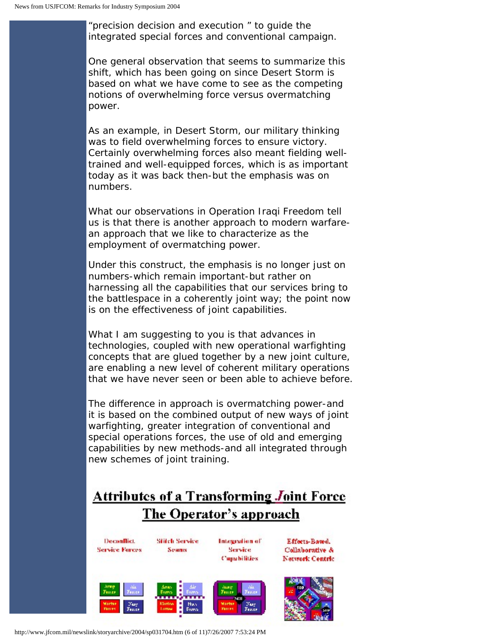"precision decision and execution " to guide the integrated special forces and conventional campaign.

One general observation that seems to summarize this shift, which has been going on since Desert Storm is based on what we have come to see as the competing notions of overwhelming force versus overmatching power.

As an example, in Desert Storm, our military thinking was to field overwhelming forces to ensure victory. Certainly overwhelming forces also meant fielding welltrained and well-equipped forces, which is as important today as it was back then-but the emphasis was on numbers.

What our observations in Operation Iraqi Freedom tell us is that there is another approach to modern warfarean approach that we like to characterize as the employment of overmatching power.

Under this construct, the emphasis is no longer just on numbers-which remain important-but rather on harnessing all the capabilities that our services bring to the battlespace in a coherently joint way; the point now is on the effectiveness of joint capabilities.

What I am suggesting to you is that advances in technologies, coupled with new operational warfighting concepts that are glued together by a new joint culture, are enabling a new level of coherent military operations that we have never seen or been able to achieve before.

The difference in approach is overmatching power-and it is based on the combined output of new ways of joint warfighting, greater integration of conventional and special operations forces, the use of old and emerging capabilities by new methods-and all integrated through new schemes of joint training.

# **Attributes of a Transforming Joint Force** The Operator's approach

Deconflict. **Service Forces** 

**Stitch Service** Seams

Integration of Service 11 **Capabilities** 





http://www.jfcom.mil/newslink/storyarchive/2004/sp031704.htm (6 of 11)7/26/2007 7:53:24 PM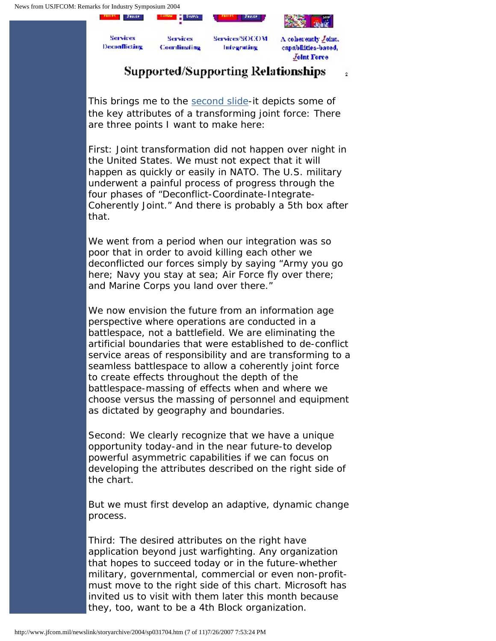

## **Supported/Supporting Relationships**

÷

This brings me to the [second slide-](http://www.jfcom.mil/newslink/photolib/speeches/industry/slide2.htm)it depicts some of the key attributes of a transforming joint force: There are three points I want to make here:

First: Joint transformation did not happen over night in the United States. We must not expect that it will happen as quickly or easily in NATO. The U.S. military underwent a painful process of progress through the four phases of "Deconflict-Coordinate-Integrate-Coherently Joint." And there is probably a 5th box after that.

We went from a period when our integration was so poor that in order to avoid killing each other we deconflicted our forces simply by saying "Army you go here; Navy you stay at sea; Air Force fly over there; and Marine Corps you land over there."

We now envision the future from an information age perspective where operations are conducted in a battlespace, not a battlefield. We are eliminating the artificial boundaries that were established to de-conflict service areas of responsibility and are transforming to a seamless battlespace to allow a coherently joint force to create effects throughout the depth of the battlespace-massing of effects when and where we choose versus the massing of personnel and equipment as dictated by geography and boundaries.

Second: We clearly recognize that we have a unique opportunity today-and in the near future-to develop powerful asymmetric capabilities if we can focus on developing the attributes described on the right side of the chart.

But we must first develop an adaptive, dynamic change process.

Third: The desired attributes on the right have application beyond just warfighting. Any organization that hopes to succeed today or in the future-whether military, governmental, commercial or even non-profitmust move to the right side of this chart. Microsoft has invited us to visit with them later this month because they, too, want to be a 4th Block organization.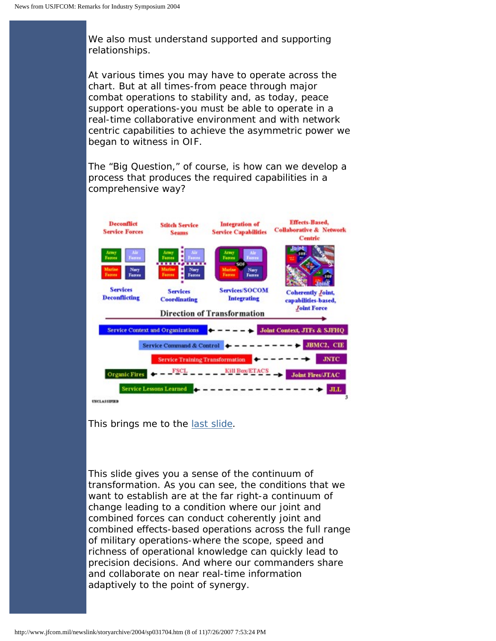We also must understand supported and supporting relationships.

At various times you may have to operate across the chart. But at all times-from peace through major combat operations to stability and, as today, peace support operations-you must be able to operate in a real-time collaborative environment and with network centric capabilities to achieve the asymmetric power we began to witness in OIF.

The "Big Question," of course, is how can we develop a process that produces the required capabilities in a comprehensive way?



This brings me to the [last slide](http://www.jfcom.mil/newslink/photolib/speeches/industry/slide3.htm).

This slide gives you a sense of the continuum of transformation. As you can see, the conditions that we want to establish are at the far right-a continuum of change leading to a condition where our joint and combined forces can conduct coherently joint and combined effects-based operations across the full range of military operations-where the scope, speed and richness of operational knowledge can quickly lead to precision decisions. And where our commanders share and collaborate on near real-time information adaptively to the point of synergy.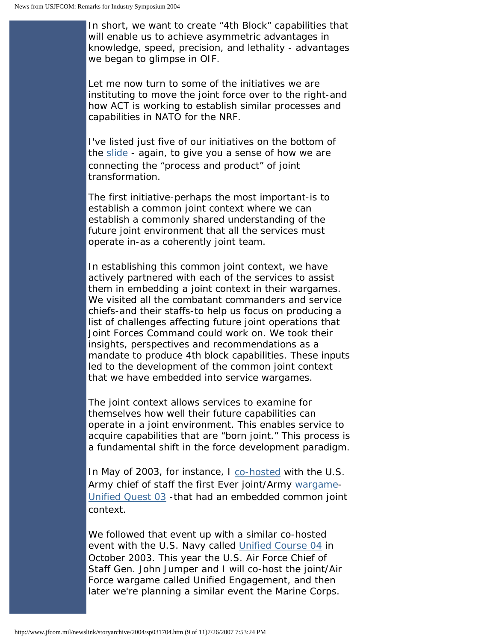In short, we want to create "4th Block" capabilities that will enable us to achieve asymmetric advantages in knowledge, speed, precision, and lethality - advantages we began to glimpse in OIF.

Let me now turn to some of the initiatives we are instituting to move the joint force over to the right-and how ACT is working to establish similar processes and capabilities in NATO for the NRF.

I've listed just five of our initiatives on the bottom of the [slide](http://www.jfcom.mil/newslink/photolib/speeches/industry/slide3.htm) - again, to give you a sense of how we are connecting the "process and product" of joint transformation.

The first initiative-perhaps the most important-is to establish a common joint context where we can establish a commonly shared understanding of the future joint environment that all the services must operate in-as a coherently joint team.

In establishing this common joint context, we have actively partnered with each of the services to assist them in embedding a joint context in their wargames. We visited all the combatant commanders and service chiefs-and their staffs-to help us focus on producing a list of challenges affecting future joint operations that Joint Forces Command could work on. We took their insights, perspectives and recommendations as a mandate to produce 4th block capabilities. These inputs led to the development of the common joint context that we have embedded into service wargames.

The joint context allows services to examine for themselves how well their future capabilities can operate in a joint environment. This enables service to acquire capabilities that are "born joint." This process is a fundamental shift in the force development paradigm.

In May of 2003, for instance, I [co-hosted](http://www.jfcom.mil/about/fact_sponsor.htm) with the U.S. Army chief of staff the first Ever joint/Army [wargame](http://www.jfcom.mil/about/fact_wargame.htm)-[Unified Quest 03](http://www.jfcom.mil/about/experiments/uq03.htm) -that had an embedded common joint context.

We followed that event up with a similar co-hosted event with the U.S. Navy called [Unified Course 04](http://www.jfcom.mil/about/experiments/uc04.htm) in October 2003. This year the U.S. Air Force Chief of Staff Gen. John Jumper and I will co-host the joint/Air Force wargame called Unified Engagement, and then later we're planning a similar event the Marine Corps.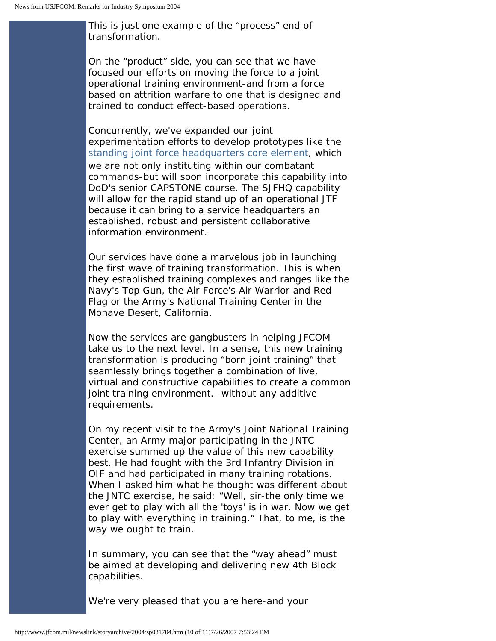This is just one example of the "process" end of transformation.

On the "product" side, you can see that we have focused our efforts on moving the force to a joint operational training environment-and from a force based on attrition warfare to one that is designed and trained to conduct effect-based operations.

Concurrently, we've expanded our joint experimentation efforts to develop prototypes like the [standing joint force headquarters core element,](http://www.jfcom.mil/about/fact_sjfhq.htm) which we are not only instituting within our combatant commands-but will soon incorporate this capability into DoD's senior CAPSTONE course. The SJFHQ capability will allow for the rapid stand up of an operational JTF because it can bring to a service headquarters an established, robust and persistent collaborative information environment.

Our services have done a marvelous job in launching the first wave of training transformation. This is when they established training complexes and ranges like the Navy's Top Gun, the Air Force's Air Warrior and Red Flag or the Army's National Training Center in the Mohave Desert, California.

Now the services are gangbusters in helping JFCOM take us to the next level. In a sense, this new training transformation is producing "born joint training" that seamlessly brings together a combination of live, virtual and constructive capabilities to create a common joint training environment. - without any additive requirements.

On my recent visit to the Army's Joint National Training Center, an Army major participating in the JNTC exercise summed up the value of this new capability best. He had fought with the 3rd Infantry Division in OIF and had participated in many training rotations. When I asked him what he thought was different about the JNTC exercise, he said: "Well, sir-the only time we ever get to play with all the 'toys' is in war. Now we get to play with everything in training." That, to me, is the way we ought to train.

In summary, you can see that the "way ahead" must be aimed at developing and delivering new 4th Block capabilities.

We're very pleased that you are here-and your